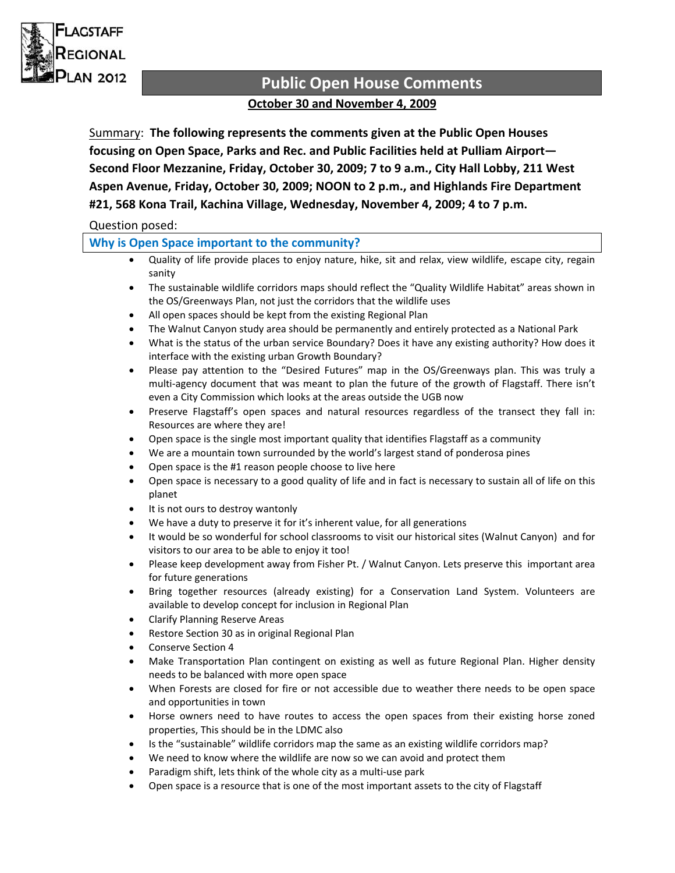

# **Public Open House Comments October 30 and November 4, 2009**

Summary: **The following represents the comments given at the Public Open Houses focusing on Open Space, Parks and Rec. and Public Facilities held at Pulliam Airport— Second Floor Mezzanine, Friday, October 30, 2009; 7 to 9 a.m., City Hall Lobby, 211 West Aspen Avenue, Friday, October 30, 2009; NOON to 2 p.m., and Highlands Fire Department #21, 568 Kona Trail, Kachina Village, Wednesday, November 4, 2009; 4 to 7 p.m.**

# Question posed:

### **Why is Open Space important to the community?**

- Quality of life provide places to enjoy nature, hike, sit and relax, view wildlife, escape city, regain sanity
- The sustainable wildlife corridors maps should reflect the "Quality Wildlife Habitat" areas shown in the OS/Greenways Plan, not just the corridors that the wildlife uses
- All open spaces should be kept from the existing Regional Plan
- The Walnut Canyon study area should be permanently and entirely protected as a National Park
- What is the status of the urban service Boundary? Does it have any existing authority? How does it interface with the existing urban Growth Boundary?
- Please pay attention to the "Desired Futures" map in the OS/Greenways plan. This was truly a multi-agency document that was meant to plan the future of the growth of Flagstaff. There isn't even a City Commission which looks at the areas outside the UGB now
- Preserve Flagstaff's open spaces and natural resources regardless of the transect they fall in: Resources are where they are!
- Open space is the single most important quality that identifies Flagstaff as a community
- We are a mountain town surrounded by the world's largest stand of ponderosa pines
- Open space is the #1 reason people choose to live here
- Open space is necessary to a good quality of life and in fact is necessary to sustain all of life on this planet
- It is not ours to destroy wantonly
- We have a duty to preserve it for it's inherent value, for all generations
- It would be so wonderful for school classrooms to visit our historical sites (Walnut Canyon) and for visitors to our area to be able to enjoy it too!
- Please keep development away from Fisher Pt. / Walnut Canyon. Lets preserve this important area for future generations
- Bring together resources (already existing) for a Conservation Land System. Volunteers are available to develop concept for inclusion in Regional Plan
- Clarify Planning Reserve Areas
- Restore Section 30 as in original Regional Plan
- Conserve Section 4
- Make Transportation Plan contingent on existing as well as future Regional Plan. Higher density needs to be balanced with more open space
- When Forests are closed for fire or not accessible due to weather there needs to be open space and opportunities in town
- Horse owners need to have routes to access the open spaces from their existing horse zoned properties, This should be in the LDMC also
- Is the "sustainable" wildlife corridors map the same as an existing wildlife corridors map?
- We need to know where the wildlife are now so we can avoid and protect them
- Paradigm shift, lets think of the whole city as a multi‐use park
- Open space is a resource that is one of the most important assets to the city of Flagstaff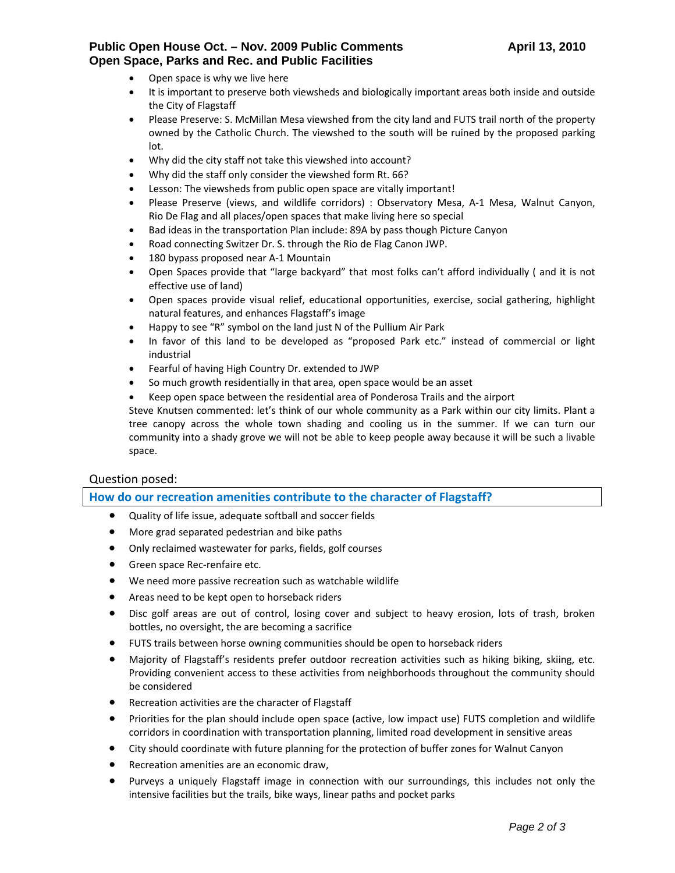## **Public Open House Oct. – Nov. 2009 Public Comments April 13, 2010 Open Space, Parks and Rec. and Public Facilities**

- Open space is why we live here
- It is important to preserve both viewsheds and biologically important areas both inside and outside the City of Flagstaff
- Please Preserve: S. McMillan Mesa viewshed from the city land and FUTS trail north of the property owned by the Catholic Church. The viewshed to the south will be ruined by the proposed parking lot.
- Why did the city staff not take this viewshed into account?
- Why did the staff only consider the viewshed form Rt. 66?
- Lesson: The viewsheds from public open space are vitally important!
- Please Preserve (views, and wildlife corridors) : Observatory Mesa, A‐1 Mesa, Walnut Canyon, Rio De Flag and all places/open spaces that make living here so special
- Bad ideas in the transportation Plan include: 89A by pass though Picture Canyon
- Road connecting Switzer Dr. S. through the Rio de Flag Canon JWP.
- 180 bypass proposed near A‐1 Mountain
- Open Spaces provide that "large backyard" that most folks can't afford individually ( and it is not effective use of land)
- Open spaces provide visual relief, educational opportunities, exercise, social gathering, highlight natural features, and enhances Flagstaff's image
- Happy to see "R" symbol on the land just N of the Pullium Air Park
- In favor of this land to be developed as "proposed Park etc." instead of commercial or light industrial
- Fearful of having High Country Dr. extended to JWP
- So much growth residentially in that area, open space would be an asset
- Keep open space between the residential area of Ponderosa Trails and the airport

Steve Knutsen commented: let's think of our whole community as a Park within our city limits. Plant a tree canopy across the whole town shading and cooling us in the summer. If we can turn our community into a shady grove we will not be able to keep people away because it will be such a livable space.

### Question posed:

#### **How do our recreation amenities contribute to the character of Flagstaff?**

- Quality of life issue, adequate softball and soccer fields
- More grad separated pedestrian and bike paths
- Only reclaimed wastewater for parks, fields, golf courses
- Green space Rec‐renfaire etc.
- We need more passive recreation such as watchable wildlife
- Areas need to be kept open to horseback riders
- Disc golf areas are out of control, losing cover and subject to heavy erosion, lots of trash, broken bottles, no oversight, the are becoming a sacrifice
- FUTS trails between horse owning communities should be open to horseback riders
- Majority of Flagstaff's residents prefer outdoor recreation activities such as hiking biking, skiing, etc. Providing convenient access to these activities from neighborhoods throughout the community should be considered
- Recreation activities are the character of Flagstaff
- Priorities for the plan should include open space (active, low impact use) FUTS completion and wildlife corridors in coordination with transportation planning, limited road development in sensitive areas
- City should coordinate with future planning for the protection of buffer zones for Walnut Canyon
- Recreation amenities are an economic draw,
- Purveys a uniquely Flagstaff image in connection with our surroundings, this includes not only the intensive facilities but the trails, bike ways, linear paths and pocket parks